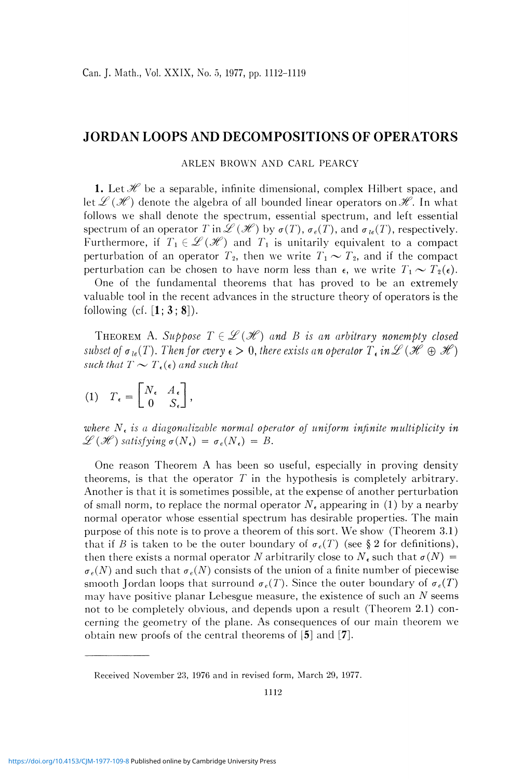## JORDAN LOOPS AND DECOMPOSITIONS OF OPERATORS

ARLEN BROWN AND CARL PEARCY

1. Let  $\mathcal H$  be a separable, infinite dimensional, complex Hilbert space, and let  $\mathscr{L}(\mathscr{H})$  denote the algebra of all bounded linear operators on  $\mathscr{H}.$  In what follows we shall denote the spectrum, essential spectrum, and left essential spectrum of an operator  $T$  in  $\mathscr{L}(\mathscr{H})$  by  $\sigma(T)$ ,  $\sigma_e(T)$ , and  $\sigma_{le}(T)$ , respectively. Furthermore, if  $T_1 \in \mathscr{L}(\mathscr{H})$  and  $T_1$  is unitarily equivalent to a compact perturbation of an operator  $T_2$ , then we write  $T_1 \sim T_2$ , and if the compact perturbation can be chosen to have norm less than  $\epsilon$ , we write  $T_1 \sim T_2(\epsilon)$ .

One of the fundamental theorems that has proved to be an extremely valuable tool in the recent advances in the structure theory of operators is the following (cf.  $\lceil 1; 3; 8 \rceil$ ).

THEOREM A. Suppose  $T \in \mathcal{L}(\mathcal{H})$  and B is an arbitrary nonempty closed  $s$ ubset of  $\sigma_{le}(T)$ . Then for every  $\epsilon > 0$ , there exists an operator  $T$   $_{\epsilon}$  in  $\mathscr{L}(\mathscr{H} \oplus \mathscr{H})$ *such that*  $T \sim T_e(\epsilon)$  *and such that* 

$$
(1) \quad T_{\epsilon} = \begin{bmatrix} N_{\epsilon} & A_{\epsilon} \\ 0 & S_{\epsilon} \end{bmatrix},
$$

*where N<sup>t</sup> is a diagonalizable normal operator of uniform infinite multiplicity in*   $\mathscr{L}(\mathscr{H})$  satisfying  $\sigma(N_{\epsilon}) = \sigma_e(N_{\epsilon}) = B$ .

One reason Theorem A has been so useful, especially in proving density theorems, is that the operator *T* in the hypothesis is completely arbitrary. Another is that it is sometimes possible, at the expense of another perturbation of small norm, to replace the normal operator  $N_{\epsilon}$  appearing in (1) by a nearby normal operator whose essential spectrum has desirable properties. The main purpose of this note is to prove a theorem of this sort. We show (Theorem 3.1) that if *B* is taken to be the outer boundary of  $\sigma_e(T)$  (see § 2 for definitions), then there exists a normal operator N arbitrarily close to  $N_e$  such that  $\sigma(N)$  =  $\sigma_e(N)$  and such that  $\sigma_e(N)$  consists of the union of a finite number of piecewise smooth Jordan loops that surround  $\sigma_e(T)$ . Since the outer boundary of  $\sigma_e(T)$ may have positive planar Lebesgue measure, the existence of such an *N* seems not to be completely obvious, and depends upon a result (Theorem 2.1) concerning the geometry of the plane. As consequences of our main theorem we obtain new proofs of the central theorems of [5] and [7].

Received November 23, 1976 and in revised form, March 29, 1977.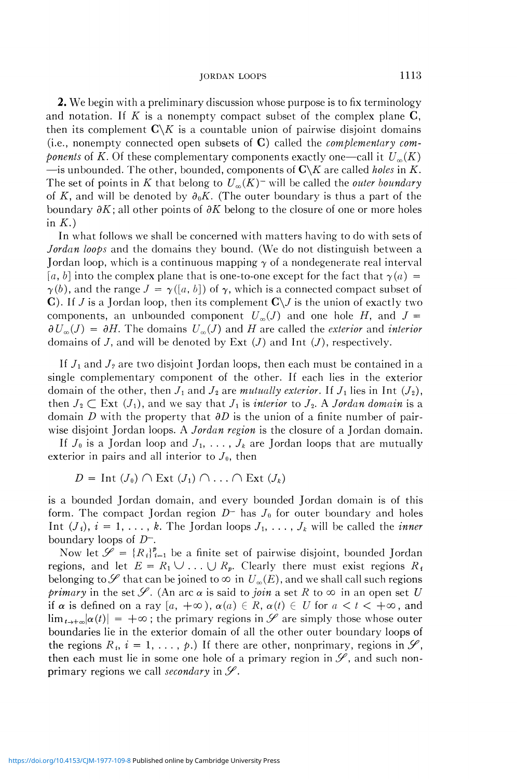JORDAN LOOPS 1113

2. We begin with a preliminary discussion whose purpose is to fix terminology and notation. If *K* is a nonempty compact subset of the complex plane C, then its complement  $C\setminus K$  is a countable union of pairwise disjoint domains (i.e., nonempty connected open subsets of C) called the *complementary components* of K. Of these complementary components exactly one—call it  $U_{\infty}(K)$ —is unbounded. The other, bounded, components of  $C\setminus K$  are called *holes* in K. The set of points in K that belong to  $U_{\infty}(K)^-$  will be called the *outer boundary* of K, and will be denoted by  $\partial_0 K$ . (The outer boundary is thus a part of the boundary  $\partial K$ ; all other points of  $\partial K$  belong to the closure of one or more holes *inK.)* 

In what follows we shall be concerned with matters having to do with sets of *Jordan loops* and the domains they bound. (We do not distinguish between a Jordan loop, which is a continuous mapping  $\gamma$  of a nondegenerate real interval [a, b] into the complex plane that is one-to-one except for the fact that  $\gamma(a)$  =  $\gamma(b)$ , and the range  $J = \gamma([a, b])$  of  $\gamma$ , which is a connected compact subset of C). If *J* is a Jordan loop, then its complement  $C \setminus J$  is the union of exactly two components, an unbounded component  $U_\infty(J)$  and one hole H, and  $J =$  $\partial U_{\infty}(J) = \partial H$ . The domains  $U_{\infty}(J)$  and *H* are called the *exterior* and *interior* domains of J, and will be denoted by Ext  $(J)$  and Int  $(J)$ , respectively.

If  $J_1$  and  $J_2$  are two disjoint Jordan loops, then each must be contained in a single complementary component of the other. If each lies in the exterior domain of the other, then  $J_1$  and  $J_2$  are *mutually exterior*. If  $J_1$  lies in Int  $(J_2)$ , then  $J_2 \subset \text{Ext}(J_1)$ , and we say that  $J_1$  is *interior* to  $J_2$ . A *Jordan domain* is a domain *D* with the property that  $\partial D$  is the union of a finite number of pairwise disjoint Jordan loops. A *Jordan region* is the closure of a Jordan domain.

If  $J_0$  is a Jordan loop and  $J_1, \ldots, J_k$  are Jordan loops that are mutually exterior in pairs and all interior to  $J_0$ , then

$$
D = \text{Int}(J_0) \cap \text{Ext}(J_1) \cap \ldots \cap \text{Ext}(J_k)
$$

is a bounded Jordan domain, and every bounded Jordan domain is of this form. The compact Jordan region  $D^-$  has  $J_0$  for outer boundary and holes Int  $(J_i)$ ,  $i = 1, \ldots, k$ . The Jordan loops  $J_1, \ldots, J_k$  will be called the *inner* boundary loops of *D~.* 

Now let  $\mathscr{S} = \{R_i\}_{i=1}^p$  be a finite set of pairwise disjoint, bounded Jordan regions, and let  $E = R_1 \cup ... \cup R_p$ . Clearly there must exist regions  $R_i$ belonging to  $\mathscr S$  that can be joined to  $\infty$  in  $U_{\infty}(E)$ , and we shall call such regions *primary* in the set  $\mathscr{S}$ . (An arc  $\alpha$  is said to *join* a set R to  $\infty$  in an open set U if  $\alpha$  is defined on a ray  $[a, +\infty)$ ,  $\alpha(a) \in R$ ,  $\alpha(t) \in U$  for  $a \le t \le +\infty$ , and  $\lim_{t\to+\infty} |\alpha(t)| = +\infty$ ; the primary regions in  $\mathscr S$  are simply those whose outer boundaries lie in the exterior domain of all the other outer boundary loops of the regions  $R_i$ ,  $i = 1, \ldots, p$ .) If there are other, nonprimary, regions in  $\mathscr{S}$ , then each must lie in some one hole of a primary region in  $\mathscr{S}$ , and such nonprimary regions we call *secondary* in *£/.*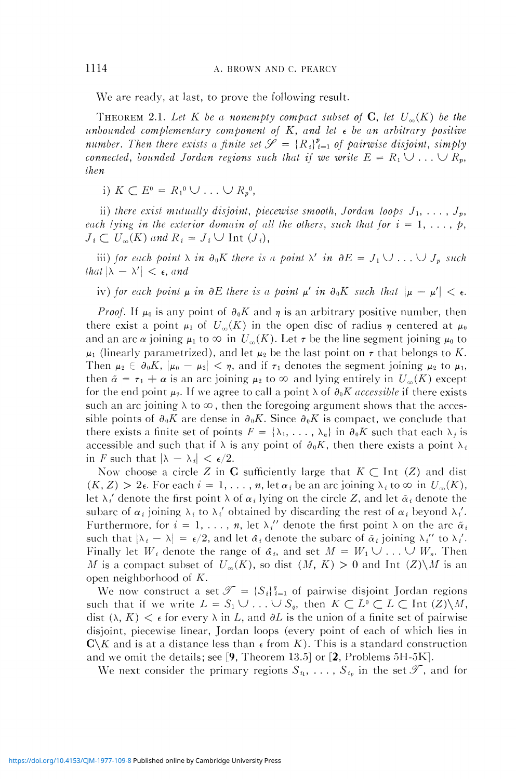We are ready, at last, to prove the following result.

THEOREM 2.1. Let K be a nonempty compact subset of  $\mathbf{C}$ , let  $U_{\infty}(K)$  be the *unbounded complementary component of K, and let* e *be an arbitrary positive number. Then there exists a finite set*  $\mathscr{S} = {R_i}_{i=1}^p$  of pairwise disjoint, simply *connected, bounded Jordan regions such that if we write*  $E = R_1 \cup \ldots \cup R_p$ , *then* 

i)  $K \subset E^0 = R_1^0 \cup \ldots \cup R_p^0$ ,

ii) there exist mutually disjoint, piecewise smooth, Jordan loops  $J_1, \ldots, J_n$ , *each lying in the exterior domain of all the others, such that for i* = 1, ...,  $p$ ,  $J_i \subset U_\infty(K)$  and  $R_i = J_i \cup \text{Int}(J_i)$ ,

iii) for each point  $\lambda$  in  $\partial_0 K$  there is a point  $\lambda'$  in  $\partial E = J_1 \cup \ldots \cup J_p$  such *that*  $|\lambda - \lambda'| < \epsilon$ , *and* 

iv) for each point  $\mu$  in  $\partial E$  there is a point  $\mu'$  in  $\partial_0 K$  such that  $|\mu - \mu'| < \epsilon$ .

*Proof.* If  $\mu_0$  is any point of  $\partial_0 K$  and  $\eta$  is an arbitrary positive number, then there exist a point  $\mu_1$  of  $U_\infty(K)$  in the open disc of radius  $\eta$  centered at  $\mu_0$ and an arc  $\alpha$  joining  $\mu_1$  to  $\infty$  in  $U_{\infty}(K)$ . Let  $\tau$  be the line segment joining  $\mu_0$  to  $\mu_1$  (linearly parametrized), and let  $\mu_2$  be the last point on  $\tau$  that belongs to K. Then  $\mu_2 \in \partial_0 K$ ,  $|\mu_0 - \mu_2| < \eta$ , and if  $\tau_1$  denotes the segment joining  $\mu_2$  to  $\mu_1$ , then  $\tilde{\alpha} = \tau_1 + \alpha$  is an arc joining  $\mu_2$  to  $\infty$  and lying entirely in  $U_{\infty}(K)$  except for the end point  $\mu_2$ . If we agree to call a point  $\lambda$  of  $\partial_0 K$  *accessible* if there exists such an arc joining  $\lambda$  to  $\infty$ , then the foregoing argument shows that the accessible points of  $\partial_0 K$  are dense in  $\partial_0 K$ . Since  $\partial_0 K$  is compact, we conclude that there exists a finite set of points  $F = \{\lambda_1, \ldots, \lambda_n\}$  in  $\partial_0 K$  such that each  $\lambda_j$  is accessible and such that if  $\lambda$  is any point of  $\partial_0 K$ , then there exists a point  $\lambda_i$ in *F* such that  $|\lambda - \lambda_i| < \epsilon/2$ .

Now choose a circle Z in C sufficiently large that  $K \subset$  Int  $(Z)$  and dist  $(K, Z) > 2\epsilon$ . For each  $i = 1, \ldots, n$ , let  $\alpha_i$  be an arc joining  $\lambda_i$  to  $\infty$  in  $U_{\infty}(K)$ , let  $\lambda_i'$  denote the first point  $\lambda$  of  $\alpha_i$  lying on the circle Z, and let  $\tilde{\alpha}_i$  denote the subarc of  $\alpha_i$  joining  $\lambda_i$  to  $\lambda_i'$  obtained by discarding the rest of  $\alpha_i$  beyond  $\lambda_i'$ . Furthermore, for  $i = 1, \ldots, n$ , let  $\lambda_i''$  denote the first point  $\lambda$  on the arc  $\tilde{\alpha}_i$ such that  $|\lambda_i - \lambda| = \epsilon/2$ , and let  $\hat{\alpha}_i$  denote the subarc of  $\tilde{\alpha}_i$  joining  $\lambda_i$ '' to  $\lambda_i'$ . Finally let  $W_i$  denote the range of  $\hat{\alpha}_i$ , and set  $M = W_1 \cup \ldots \cup W_n$ . Then *M* is a compact subset of  $U_{\infty}(K)$ , so dist  $(M, K) > 0$  and Int  $(Z)\setminus M$  is an open neighborhood of *K.* 

We now construct a set  $\mathcal{T} = \{S_i\}_{i=1}^q$  of pairwise disjoint Jordan regions such that if we write  $L = S_1 \cup \ldots \cup S_q$ , then  $K \subset L^0 \subset L \subset \text{Int } (Z) \backslash M$ , dist  $(\lambda, K) < \epsilon$  for every  $\lambda$  in L, and  $\partial L$  is the union of a finite set of pairwise disjoint, piecewise linear, Jordan loops (every point of each of which lies in  $C\setminus K$  and is at a distance less than  $\epsilon$  from  $K$ ). This is a standard construction and we omit the details; see  $[9,$  Theorem 13.5] or  $[2,$  Problems 5H-5K].

We next consider the primary regions  $S_{i_1}, \ldots, S_{i_p}$  in the set  $\mathscr{T}$ , and for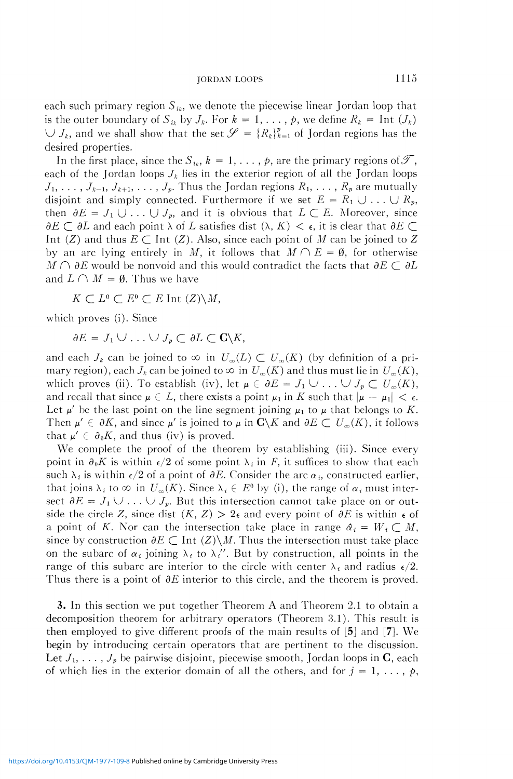each such primary region  $S_{ik}$ , we denote the piecewise linear Jordan loop that is the outer boundary of  $S_{i_k}$  by  $J_k$ . For  $k = 1, \ldots, p$ , we define  $R_k = \text{Int}(J_k)$  $\bigcup J_k$  and we shall show that the set  $\mathscr{S} = \{R_k\}_{k=1}^p$  of Jordan regions has the desired properties.

In the first place, since the  $S_{i_k}$ ,  $k = 1, \ldots, p$ , are the primary regions of  $\mathcal{T}$ , each of the Jordan loops  $J_k$  lies in the exterior region of all the Jordan loops  $J_1, \ldots, J_{k-1}, J_{k+1}, \ldots, J_p$ . Thus the Jordan regions  $R_1, \ldots, R_p$  are mutually disjoint and simply connected. Furthermore if we set  $E = R_1 \cup ... \cup R_p$ , then  $\partial E = J_1 \cup \ldots \cup J_p$ , and it is obvious that  $L \subset E$ . Moreover, since  $\partial E \subset \partial L$  and each point  $\lambda$  of L satisfies dist  $(\lambda, K) < \epsilon$ , it is clear that  $\partial E \subset$ Int (Z) and thus  $E \subset \text{Int } (Z)$ . Also, since each point of M can be joined to Z by an arc lying entirely in *M*, it follows that  $M \cap E = \emptyset$ , for otherwise  $M \cap \partial E$  would be nonvoid and this would contradict the facts that  $\partial E \subset \partial L$ and  $L \cap M = \emptyset$ . Thus we have

 $K \subset L^0 \subset E^0 \subset E$  Int  $(Z) \backslash M$ ,

which proves (i). Since

 $\partial E = J_1 \cup \ldots \cup J_\nu \subset \partial L \subset \mathbb{C} \backslash K$ ,

and each  $J_k$  can be joined to  $\infty$  in  $U_{\infty}(L) \subset U_{\infty}(K)$  (by definition of a primary region), each  $J_k$  can be joined to  $\infty$  in  $U_{\infty}(K)$  and thus must lie in  $U_{\infty}(K)$ , which proves (ii). To establish (iv), let  $\mu \in \partial E = J_1 \cup \ldots \cup J_p \subset U_\infty(K)$ , and recall that since  $\mu \in L$ , there exists a point  $\mu_1$  in K such that  $|\mu - \mu_1| < \epsilon$ . Let  $\mu'$  be the last point on the line segment joining  $\mu_1$  to  $\mu$  that belongs to K. Then  $\mu' \in \partial K$ , and since  $\mu'$  is joined to  $\mu$  in  $C\backslash K$  and  $\partial E \subset U_{\infty}(K)$ , it follows that  $\mu' \in \partial_0 K$ , and thus (iv) is proved.

We complete the proof of the theorem by establishing (iii). Since every point in  $\partial_{\theta} K$  is within  $\epsilon/2$  of some point  $\lambda_i$  in *F*, it suffices to show that each such  $\lambda_i$  is within  $\epsilon/2$  of a point of  $\partial E$ . Consider the arc  $\alpha_i$ , constructed earlier, that joins  $\lambda_i$  to  $\infty$  in  $U_\infty(K)$ . Since  $\lambda_i \in E^0$  by (i), the range of  $\alpha_i$  must intersect  $\partial E = J_1 \cup \ldots \cup J_p$ . But this intersection cannot take place on or outside the circle Z, since dist  $(K, Z) > 2\epsilon$  and every point of  $\partial E$  is within  $\epsilon$  of a point of K. Nor can the intersection take place in range  $\hat{\alpha}_i = W_i \subset M$ , since by construction  $\partial E \subset \text{Int}(Z) \backslash M$ . Thus the intersection must take place on the subarc of  $\alpha_i$  joining  $\lambda_i$  to  $\lambda_i''$ . But by construction, all points in the range of this subarc are interior to the circle with center  $\lambda_i$  and radius  $\epsilon/2$ . Thus there is a point of  $\partial E$  interior to this circle, and the theorem is proved.

3. In this section we put together Theorem A and Theorem 2.1 to obtain a decomposition theorem for arbitrary operators (Theorem 3.1). This result is then employed to give different proofs of the main results of [5] and [7]. We begin by introducing certain operators that are pertinent to the discussion. Let  $J_1, \ldots, J_p$  be pairwise disjoint, piecewise smooth, Jordan loops in C, each of which lies in the exterior domain of all the others, and for  $j = 1, \ldots, p$ ,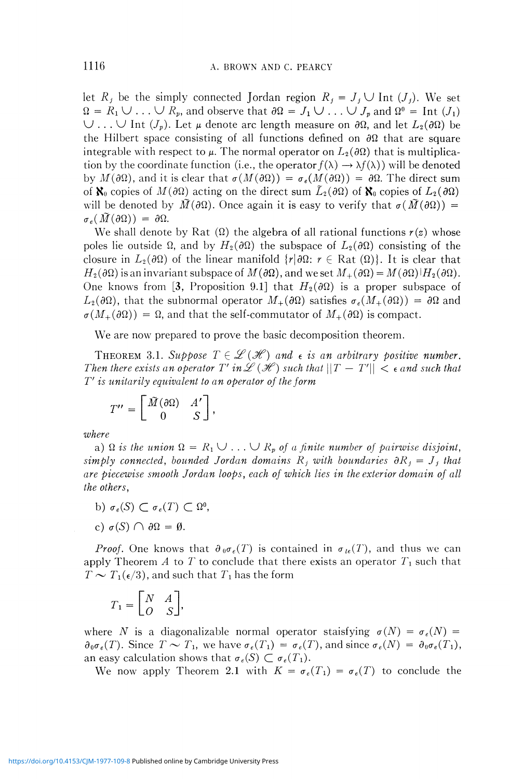let  $R_j$  be the simply connected Jordan region  $R_j = J_j \cup \text{Int } (J_j)$ . We set  $\Omega = R_1 \cup \ldots \cup R_p$ , and observe that  $\partial \Omega = J_1 \cup \ldots \cup J_p$  and  $\Omega^0 = \text{Int } (J_1)$  $\cup \ldots \cup$  Int  $(J_p)$ . Let  $\mu$  denote arc length measure on  $\partial\Omega$ , and let  $L_2(\partial\Omega)$  be the Hilbert space consisting of all functions defined on  $\partial\Omega$  that are square integrable with respect to  $\mu$ . The normal operator on  $L_2(\partial\Omega)$  that is multiplication by the coordinate function (i.e., the operator  $f(\lambda) \rightarrow \lambda f(\lambda)$ ) will be denoted by  $M(\partial\Omega)$ , and it is clear that  $\sigma(M(\partial\Omega)) = \sigma_e(M(\partial\Omega)) = \partial\Omega$ . The direct sum of  $\mathbf{X}_0$  copies of  $M(\partial\Omega)$  acting on the direct sum  $\tilde{L}_2(\partial\Omega)$  of  $\mathbf{X}_0$  copies of  $L_2(\partial\Omega)$ will be denoted by  $\tilde{M}(\partial\Omega)$ . Once again it is easy to verify that  $\sigma(\tilde{M}(\partial\Omega)) =$  $\sigma_e(M(\partial\Omega)) = \partial\Omega$ .

We shall denote by Rat  $(\Omega)$  the algebra of all rational functions  $r(z)$  whose poles lie outside  $\Omega$ , and by  $H_2(\partial\Omega)$  the subspace of  $L_2(\partial\Omega)$  consisting of the closure in  $L_2(\partial\Omega)$  of the linear manifold  $\{r|\partial\Omega: r \in \text{Rat }(\Omega)\}\)$ . It is clear that  $H_2(\partial\Omega)$  is an invariant subspace of  $M(\partial\Omega)$ , and we set  $M_+(\partial\Omega) = M(\partial\Omega)H_2(\partial\Omega)$ . One knows from [3, Proposition 9.1] that  $H_2(\partial\Omega)$  is a proper subspace of  $L_2(\partial\Omega)$ , that the subnormal operator  $M_+(\partial\Omega)$  satisfies  $\sigma_e(M_+(\partial\Omega)) = \partial\Omega$  and  $\sigma(M_+(\partial\Omega)) = \Omega$ , and that the self-commutator of  $M_+(\partial\Omega)$  is compact.

We are now prepared to prove the basic decomposition theorem.

THEOREM 3.1. Suppose  $T \in \mathcal{L}(\mathcal{H})$  and  $\epsilon$  is an arbitrary positive number. *Then there exists an operator T' in*  $\mathscr{L}(\mathscr{H})$  *such that*  $\|T - T'\| < \epsilon$  and such that *T' is unitarily equivalent to an operator of the form* 

$$
T'' = \begin{bmatrix} \widetilde{M}(\partial \Omega) & A' \\ 0 & S \end{bmatrix},
$$

*where* 

a)  $\Omega$  is the union  $\Omega = R_1 \cup \ldots \cup R_p$  of a finite number of pairwise disjoint, *simply connected, bounded Jordan domains*  $R_j$  with boundaries  $\partial R_j = J_j$  that *are piecewise smooth Jordan loops, each of which lies in the exterior domain of all the others,* 

b)  $\sigma_e(S) \subset \sigma_e(T) \subset \Omega^0$ ,

c) 
$$
\sigma(S) \cap \partial \Omega = \emptyset
$$
.

*Proof.* One knows that  $\partial_{\theta} \sigma_{\ell}(T)$  is contained in  $\sigma_{\ell} (T)$ , and thus we can apply Theorem A to T to conclude that there exists an operator  $T_1$  such that  $T \sim T_1(\epsilon/3)$ , and such that  $T_1$  has the form

$$
T_1 = \begin{bmatrix} N & A \\ O & S \end{bmatrix},
$$

where *N* is a diagonalizable normal operator staisfying  $\sigma(N) = \sigma_e(N)$  $\partial_0 \sigma_e(T)$ . Since  $T \sim T_1$ , we have  $\sigma_e(T_1) = \sigma_e(T)$ , and since  $\sigma_e(N) = \partial_0 \sigma_e(T_1)$ , an easy calculation shows that  $\sigma_e(S) \subset \sigma_e(T_1)$ .

We now apply Theorem 2.1 with  $K = \sigma_e(T_1) = \sigma_e(T)$  to conclude the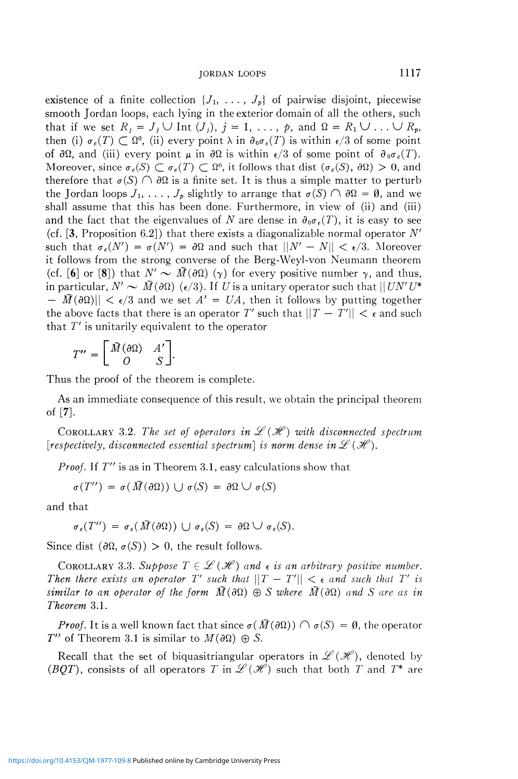JORDAN LOOPS 1117

existence of a finite collection  $\{J_1, \ldots, J_p\}$  of pairwise disjoint, piecewise smooth Jordan loops, each lying in the exterior domain of all the others, such that if we set  $R_j = J_j \cup \text{Int}(J_j)$ ,  $j = 1, \ldots, p$ , and  $\Omega = R_1 \cup \ldots \cup R_p$ then (i)  $\sigma_e(T) \subset \Omega^0$ , (ii) every point  $\lambda$  in  $\partial_0 \sigma_e(T)$  is within  $\epsilon/3$  of some point of  $\partial\Omega$ , and (iii) every point  $\mu$  in  $\partial\Omega$  is within  $\epsilon/3$  of some point of  $\partial_{\theta}\sigma_{\epsilon}(T)$ . Moreover, since  $\sigma_e(S) \subset \sigma_e(T) \subset \Omega^o$ , it follows that dist  $(\sigma_e(S), \partial \Omega) > 0$ , and therefore that  $\sigma(S) \cap \partial \Omega$  is a finite set. It is thus a simple matter to perturb the Jordan loops  $J_1, \ldots, J_p$  slightly to arrange that  $\sigma(S) \cap \partial \Omega = \emptyset$ , and we shall assume that this has been done. Furthermore, in view of (ii) and (iii) and the fact that the eigenvalues of N are dense in  $\partial_0 \sigma_e(T)$ , it is easy to see (cf. [3, Proposition 6.2]) that there exists a diagonalizable normal operator *N'*  such that  $\sigma_e(N') = \sigma(N') = \partial\Omega$  and such that  $\|N' - N\| < \epsilon/3$ . Moreover it follows from the strong converse of the Berg-Weyl-von Neumann theorem (cf. [6] or [8]) that  $N' \sim \tilde{M}(\partial \Omega)$  ( $\gamma$ ) for every positive number  $\gamma$ , and thus, in particular,  $N' \sim \tilde{M}(\partial \Omega)$  ( $\epsilon/3$ ). If U is a unitary operator such that  $||UN'U^*||$  $- \widetilde{M}(\partial\Omega)$   $| < \epsilon/3$  and we set  $A' = UA$ , then it follows by putting together the above facts that there is an operator T' such that  $\|T - T'\| < \epsilon$  and such that *T'* is unitarily equivalent to the operator

$$
T'' = \begin{bmatrix} \widetilde{M}(\partial \Omega) & A' \\ O & S \end{bmatrix}.
$$

Thus the proof of the theorem is complete.

As an immediate consequence of this result, we obtain the principal theorem of [7].

COROLLARY 3.2. The set of operators in  $L(\mathcal{H})$  with disconnected spectrum  $[respectively, disconnected essential spectrum]$  is norm dense in  $L(\mathcal{H})$ .

*Proof.* If T'' is as in Theorem 3.1, easy calculations show that

$$
\sigma(T'') = \sigma(\tilde{M}(\partial \Omega)) \cup \sigma(S) = \partial \Omega \cup \sigma(S)
$$

and that

$$
\sigma_e(T'') = \sigma_e(M(\partial \Omega)) \cup \sigma_e(S) = \partial \Omega \cup \sigma_e(S).
$$

Since dist  $(\partial \Omega, \sigma(S)) > 0$ , the result follows.

COROLLARY 3.3. Suppose  $T \in \mathcal{L}(\mathcal{H})$  and  $\epsilon$  is an arbitrary positive number. *Then there exists an operator T' such that*  $\|T - T'\| < \epsilon$  and such that T' is *similar to an operator of the form*  $\widetilde{M}(\partial\Omega) \oplus S$  *where*  $\widetilde{M}(\partial\Omega)$  *and S are as in Theorem* 3.1.

*Proof.* It is a well known fact that since  $\sigma(\tilde{M}(\partial\Omega)) \cap \sigma(S) = \emptyset$ , the operator *T*" of Theorem 3.1 is similar to  $M(\partial\Omega) \oplus S$ .

Recall that the set of biquasitriangular operators in  $\mathscr{L}(\mathscr{H})$ , denoted by *(BQT)*, consists of all operators T in  $\mathscr{L}(\mathscr{H})$  such that both T and T<sup>\*</sup> are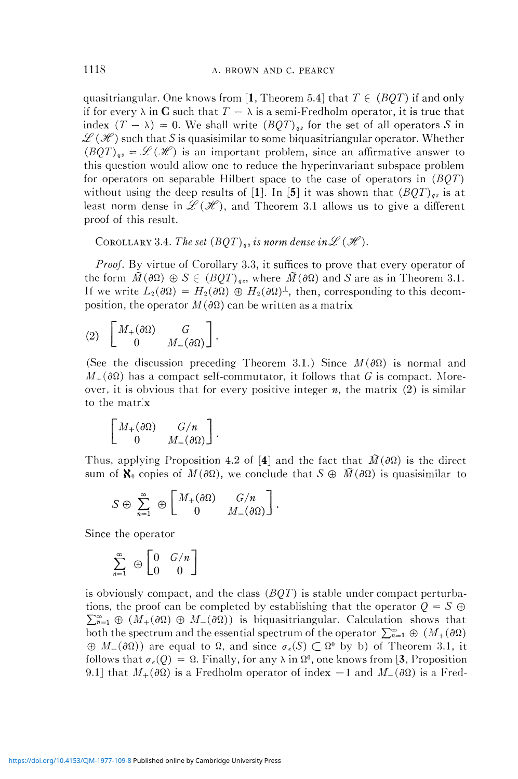quasitriangular. One knows from [1, Theorem 5.4] that  $T \in (BQT)$  if and only if for every  $\lambda$  in C such that  $T - \lambda$  is a semi-Fredholm operator, it is true that index  $(T - \lambda) = 0$ . We shall write  $(BQT)_{qs}$  for the set of all operators S in  $\mathscr{L}(\mathscr{H})$  such that S is quasisimilar to some biquasitriangular operator. Whether  $(BQT)_{gs} = \mathcal{L}(\mathcal{H})$  is an important problem, since an affirmative answer to this question would allow one to reduce the hyperinvariant subspace problem for operators on separable Hilbert space to the case of operators in *(BQT)*  without using the deep results of [1]. In [5] it was shown that  $(BQT)_{as}$  is at least norm dense in  $\mathscr{L}(\mathscr{H})$ , and Theorem 3.1 allows us to give a different proof of this result.

COROLLARY 3.4. The set  $(BQT)_{as}$  is norm dense in  $\mathscr{L}(\mathscr{H})$ .

*Proof.* By virtue of Corollary 3.3, it suffices to prove that every operator of the form  $\tilde{M}(\partial\Omega) \oplus S \in (BQT)_{\text{ax}}$ , where  $\tilde{M}(\partial\Omega)$  and S are as in Theorem 3.1. If we write  $L_2(\partial\Omega) = H_2(\partial\Omega) \oplus H_2(\partial\Omega)^\perp$ , then, corresponding to this decomposition, the operator  $M(\partial\Omega)$  can be written as a matrix

$$
(2) \begin{bmatrix} M_{+}(\partial \Omega) & G \\ 0 & M_{-}(\partial \Omega) \end{bmatrix}.
$$

(See the discussion preceding Theorem 3.1.) Since  $M(\partial\Omega)$  is normal and  $M_{+}(\partial\Omega)$  has a compact self-commutator, it follows that *G* is compact. Moreover, it is obvious that for every positive integer  $n$ , the matrix  $(2)$  is similar to the matrix

$$
\left[\begin{array}{cc} M_+(\partial\Omega) & G/n \\ 0 & M_-(\partial\Omega) \end{array}\right].
$$

Thus, applying Proposition 4.2 of [4] and the fact that  $\tilde{M}(\partial\Omega)$  is the direct sum of  $\mathbf{X}_0$  copies of  $M(\partial\Omega)$ , we conclude that  $S \oplus \tilde{M}(\partial\Omega)$  is quasisimilar to

$$
S \oplus \sum_{n=1}^{\infty} \oplus \begin{bmatrix} M_+(\partial \Omega) & G/n \\ 0 & M_-(\partial \Omega) \end{bmatrix}.
$$

Since the operator

$$
\sum_{n=1}^{\infty} \Theta \begin{bmatrix} 0 & G/n \\ 0 & 0 \end{bmatrix}
$$

is obviously compact, and the class *(BQT)* is stable under compact perturbations, the proof can be completed by establishing that the operator  $Q = S \oplus$  $\sum_{n=1}^{\infty} \oplus (M_{+}(\partial \Omega) \oplus M_{-}(\partial \Omega))$  is biquasitriangular. Calculation shows that both the spectrum and the essential spectrum of the operator  $\sum_{n=1}^{\infty} \oplus (M_+(\partial\Omega))$  $\oplus M_{-}(\partial\Omega)$  are equal to  $\Omega$ , and since  $\sigma_e(S) \subset \Omega^0$  by b) of Theorem 3.1, it follows that  $\sigma_e(Q) = \Omega$ . Finally, for any  $\lambda$  in  $\Omega^0$ , one knows from [3, Proposition 9.1] that  $M_{+}(\partial\Omega)$  is a Fredholm operator of index  $-1$  and  $M_{-}(\partial\Omega)$  is a Fred-